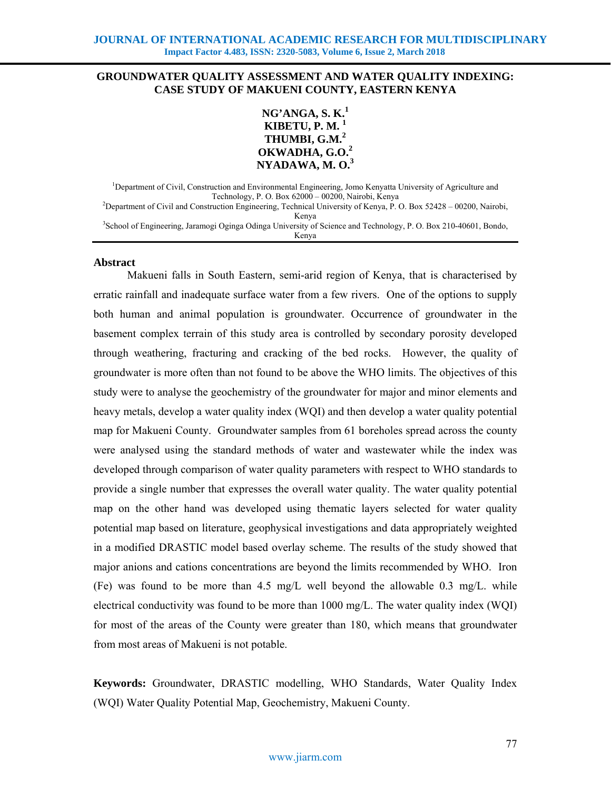# **GROUNDWATER QUALITY ASSESSMENT AND WATER QUALITY INDEXING: CASE STUDY OF MAKUENI COUNTY, EASTERN KENYA**



<sup>1</sup>Department of Civil, Construction and Environmental Engineering, Jomo Kenyatta University of Agriculture and Technology, P. O. Box 62000 – 00200, Nairobi, Kenya 2 <sup>2</sup>Department of Civil and Construction Engineering, Technical University of Kenya, P. O. Box 52428 – 00200, Nairobi, Kenya 3 School of Engineering, Jaramogi Oginga Odinga University of Science and Technology, P. O. Box 210-40601, Bondo, Kenya

#### **Abstract**

Makueni falls in South Eastern, semi-arid region of Kenya, that is characterised by erratic rainfall and inadequate surface water from a few rivers. One of the options to supply both human and animal population is groundwater. Occurrence of groundwater in the basement complex terrain of this study area is controlled by secondary porosity developed through weathering, fracturing and cracking of the bed rocks. However, the quality of groundwater is more often than not found to be above the WHO limits. The objectives of this study were to analyse the geochemistry of the groundwater for major and minor elements and heavy metals, develop a water quality index (WQI) and then develop a water quality potential map for Makueni County. Groundwater samples from 61 boreholes spread across the county were analysed using the standard methods of water and wastewater while the index was developed through comparison of water quality parameters with respect to WHO standards to provide a single number that expresses the overall water quality. The water quality potential map on the other hand was developed using thematic layers selected for water quality potential map based on literature, geophysical investigations and data appropriately weighted in a modified DRASTIC model based overlay scheme. The results of the study showed that major anions and cations concentrations are beyond the limits recommended by WHO. Iron (Fe) was found to be more than  $4.5 \text{ mg/L}$  well beyond the allowable 0.3 mg/L. while electrical conductivity was found to be more than 1000 mg/L. The water quality index (WQI) for most of the areas of the County were greater than 180, which means that groundwater from most areas of Makueni is not potable.

**Keywords:** Groundwater, DRASTIC modelling, WHO Standards, Water Quality Index (WQI) Water Quality Potential Map, Geochemistry, Makueni County.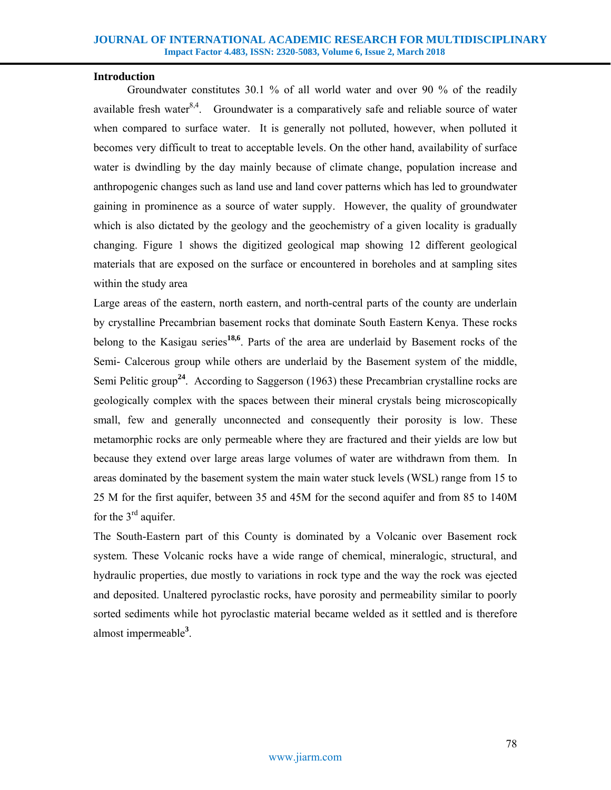## **Introduction**

Groundwater constitutes 30.1 % of all world water and over 90 % of the readily available fresh water $8,4$ . Groundwater is a comparatively safe and reliable source of water when compared to surface water. It is generally not polluted, however, when polluted it becomes very difficult to treat to acceptable levels. On the other hand, availability of surface water is dwindling by the day mainly because of climate change, population increase and anthropogenic changes such as land use and land cover patterns which has led to groundwater gaining in prominence as a source of water supply. However, the quality of groundwater which is also dictated by the geology and the geochemistry of a given locality is gradually changing. Figure 1 shows the digitized geological map showing 12 different geological materials that are exposed on the surface or encountered in boreholes and at sampling sites within the study area

Large areas of the eastern, north eastern, and north-central parts of the county are underlain by crystalline Precambrian basement rocks that dominate South Eastern Kenya. These rocks belong to the Kasigau series**18,6**. Parts of the area are underlaid by Basement rocks of the Semi- Calcerous group while others are underlaid by the Basement system of the middle, Semi Pelitic group<sup>24</sup>. According to Saggerson (1963) these Precambrian crystalline rocks are geologically complex with the spaces between their mineral crystals being microscopically small, few and generally unconnected and consequently their porosity is low. These metamorphic rocks are only permeable where they are fractured and their yields are low but because they extend over large areas large volumes of water are withdrawn from them. In areas dominated by the basement system the main water stuck levels (WSL) range from 15 to 25 M for the first aquifer, between 35 and 45M for the second aquifer and from 85 to 140M for the  $3<sup>rd</sup>$  aquifer.

The South-Eastern part of this County is dominated by a Volcanic over Basement rock system. These Volcanic rocks have a wide range of chemical, mineralogic, structural, and hydraulic properties, due mostly to variations in rock type and the way the rock was ejected and deposited. Unaltered pyroclastic rocks, have porosity and permeability similar to poorly sorted sediments while hot pyroclastic material became welded as it settled and is therefore almost impermeable**<sup>3</sup>** .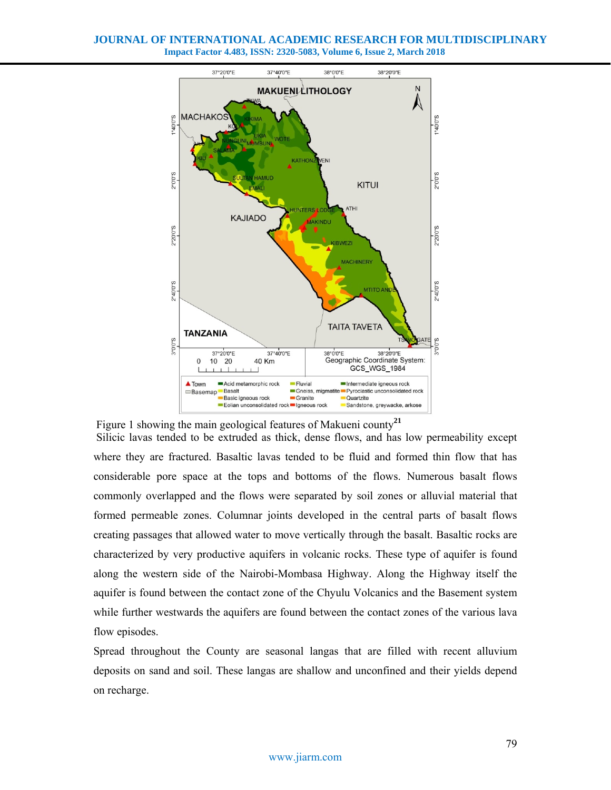

Figure 1 showing the main geological features of Makueni county**<sup>21</sup>**

 Silicic lavas tended to be extruded as thick, dense flows, and has low permeability except where they are fractured. Basaltic lavas tended to be fluid and formed thin flow that has considerable pore space at the tops and bottoms of the flows. Numerous basalt flows commonly overlapped and the flows were separated by soil zones or alluvial material that formed permeable zones. Columnar joints developed in the central parts of basalt flows creating passages that allowed water to move vertically through the basalt. Basaltic rocks are characterized by very productive aquifers in volcanic rocks. These type of aquifer is found along the western side of the Nairobi-Mombasa Highway. Along the Highway itself the aquifer is found between the contact zone of the Chyulu Volcanics and the Basement system while further westwards the aquifers are found between the contact zones of the various lava flow episodes.

Spread throughout the County are seasonal langas that are filled with recent alluvium deposits on sand and soil. These langas are shallow and unconfined and their yields depend on recharge.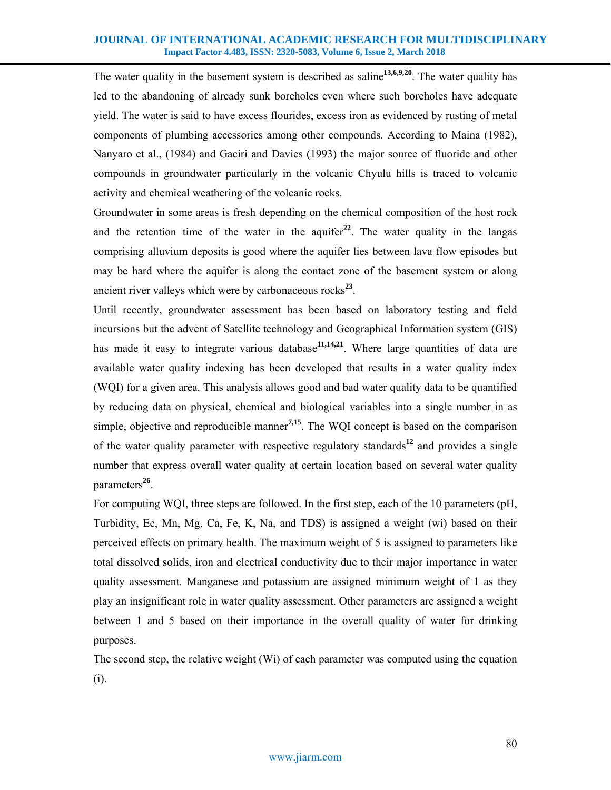The water quality in the basement system is described as saline**13,6,9,20**. The water quality has led to the abandoning of already sunk boreholes even where such boreholes have adequate yield. The water is said to have excess flourides, excess iron as evidenced by rusting of metal components of plumbing accessories among other compounds. According to Maina (1982), Nanyaro et al., (1984) and Gaciri and Davies (1993) the major source of fluoride and other compounds in groundwater particularly in the volcanic Chyulu hills is traced to volcanic activity and chemical weathering of the volcanic rocks.

Groundwater in some areas is fresh depending on the chemical composition of the host rock and the retention time of the water in the aquifer<sup>22</sup>. The water quality in the langas comprising alluvium deposits is good where the aquifer lies between lava flow episodes but may be hard where the aquifer is along the contact zone of the basement system or along ancient river valleys which were by carbonaceous rocks**<sup>23</sup>**.

Until recently, groundwater assessment has been based on laboratory testing and field incursions but the advent of Satellite technology and Geographical Information system (GIS) has made it easy to integrate various database<sup>11,14,21</sup>. Where large quantities of data are available water quality indexing has been developed that results in a water quality index (WQI) for a given area. This analysis allows good and bad water quality data to be quantified by reducing data on physical, chemical and biological variables into a single number in as simple, objective and reproducible manner**7,15**. The WQI concept is based on the comparison of the water quality parameter with respective regulatory standards**<sup>12</sup>** and provides a single number that express overall water quality at certain location based on several water quality parameters**<sup>26</sup>**.

For computing WQI, three steps are followed. In the first step, each of the 10 parameters (pH, Turbidity, Ec, Mn, Mg, Ca, Fe, K, Na, and TDS) is assigned a weight (wi) based on their perceived effects on primary health. The maximum weight of 5 is assigned to parameters like total dissolved solids, iron and electrical conductivity due to their major importance in water quality assessment. Manganese and potassium are assigned minimum weight of 1 as they play an insignificant role in water quality assessment. Other parameters are assigned a weight between 1 and 5 based on their importance in the overall quality of water for drinking purposes.

The second step, the relative weight (Wi) of each parameter was computed using the equation (i).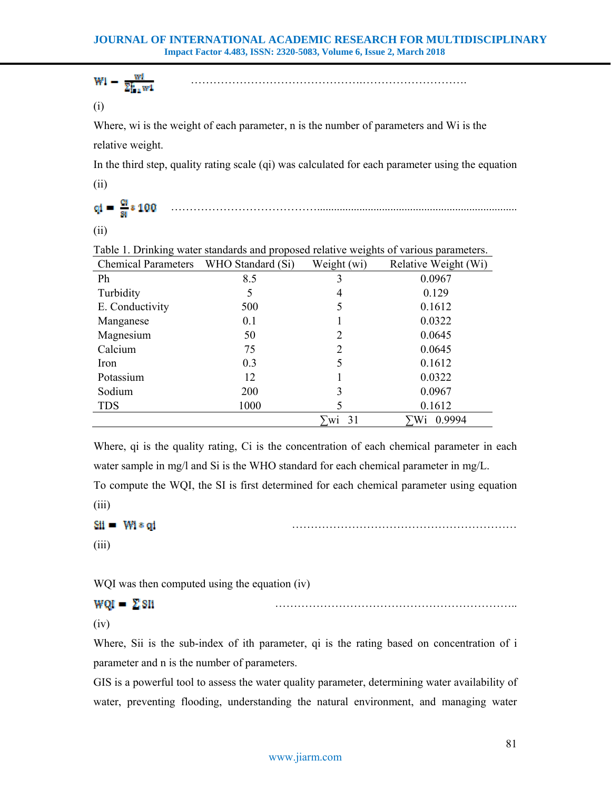$$
W1 - \frac{W1}{\sum_{i=1}^{n} w1}
$$

(i)

Where, wi is the weight of each parameter, n is the number of parameters and Wi is the relative weight.

In the third step, quality rating scale (qi) was calculated for each parameter using the equation (ii)

………………………………….......................................................................

(ii)

| Chemical Parameters WHO Standard (Si) |      | Weight (wi) | Twele 1. Dimiting water sumawas and proposed returns with the or various parameters.<br>Relative Weight (Wi) |
|---------------------------------------|------|-------------|--------------------------------------------------------------------------------------------------------------|
| Ph                                    | 8.5  | 3           | 0.0967                                                                                                       |
| Turbidity                             |      | 4           | 0.129                                                                                                        |
| E. Conductivity                       | 500  | 5           | 0.1612                                                                                                       |
| Manganese                             | 0.1  |             | 0.0322                                                                                                       |
| Magnesium                             | 50   | 2           | 0.0645                                                                                                       |
| Calcium                               | 75   | 2           | 0.0645                                                                                                       |
| Iron                                  | 0.3  | 5           | 0.1612                                                                                                       |
| Potassium                             | 12   |             | 0.0322                                                                                                       |
| Sodium                                | 200  | 3           | 0.0967                                                                                                       |
| <b>TDS</b>                            | 1000 |             | 0.1612                                                                                                       |
|                                       |      | 31<br>W1    | 0.9994<br>Wi                                                                                                 |

Table 1. Drinking water standards and proposed relative weights of various parameters.

Where, qi is the quality rating, Ci is the concentration of each chemical parameter in each water sample in mg/l and Si is the WHO standard for each chemical parameter in mg/L. To compute the WQI, the SI is first determined for each chemical parameter using equation (iii)

```
\mathbf{S} \mathbf{H} = \mathbf{W} \mathbf{I} \mathbf{s} \mathbf{q} \mathbf{I}
```
(iii)

WQI was then computed using the equation (iv)

# $WQI = \sum SII$

(iv)

Where, Sii is the sub-index of ith parameter, qi is the rating based on concentration of i parameter and n is the number of parameters.

GIS is a powerful tool to assess the water quality parameter, determining water availability of water, preventing flooding, understanding the natural environment, and managing water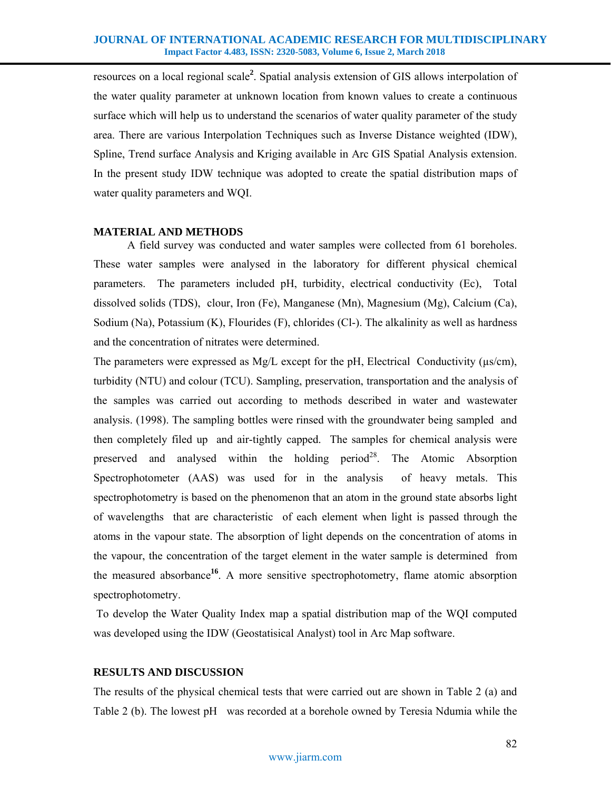resources on a local regional scale**<sup>2</sup>** . Spatial analysis extension of GIS allows interpolation of the water quality parameter at unknown location from known values to create a continuous surface which will help us to understand the scenarios of water quality parameter of the study area. There are various Interpolation Techniques such as Inverse Distance weighted (IDW), Spline, Trend surface Analysis and Kriging available in Arc GIS Spatial Analysis extension. In the present study IDW technique was adopted to create the spatial distribution maps of water quality parameters and WQI.

## **MATERIAL AND METHODS**

A field survey was conducted and water samples were collected from 61 boreholes. These water samples were analysed in the laboratory for different physical chemical parameters. The parameters included pH, turbidity, electrical conductivity (Ec), Total dissolved solids (TDS), clour, Iron (Fe), Manganese (Mn), Magnesium (Mg), Calcium (Ca), Sodium (Na), Potassium (K), Flourides (F), chlorides (Cl-). The alkalinity as well as hardness and the concentration of nitrates were determined.

The parameters were expressed as Mg/L except for the pH, Electrical Conductivity ( $\mu$ s/cm), turbidity (NTU) and colour (TCU). Sampling, preservation, transportation and the analysis of the samples was carried out according to methods described in water and wastewater analysis. (1998). The sampling bottles were rinsed with the groundwater being sampled and then completely filed up and air-tightly capped. The samples for chemical analysis were preserved and analysed within the holding period<sup>28</sup>. The Atomic Absorption Spectrophotometer (AAS) was used for in the analysis of heavy metals. This spectrophotometry is based on the phenomenon that an atom in the ground state absorbs light of wavelengths that are characteristic of each element when light is passed through the atoms in the vapour state. The absorption of light depends on the concentration of atoms in the vapour, the concentration of the target element in the water sample is determined from the measured absorbance**<sup>16</sup>**. A more sensitive spectrophotometry, flame atomic absorption spectrophotometry.

 To develop the Water Quality Index map a spatial distribution map of the WQI computed was developed using the IDW (Geostatisical Analyst) tool in Arc Map software.

## **RESULTS AND DISCUSSION**

The results of the physical chemical tests that were carried out are shown in Table 2 (a) and Table 2 (b). The lowest pH was recorded at a borehole owned by Teresia Ndumia while the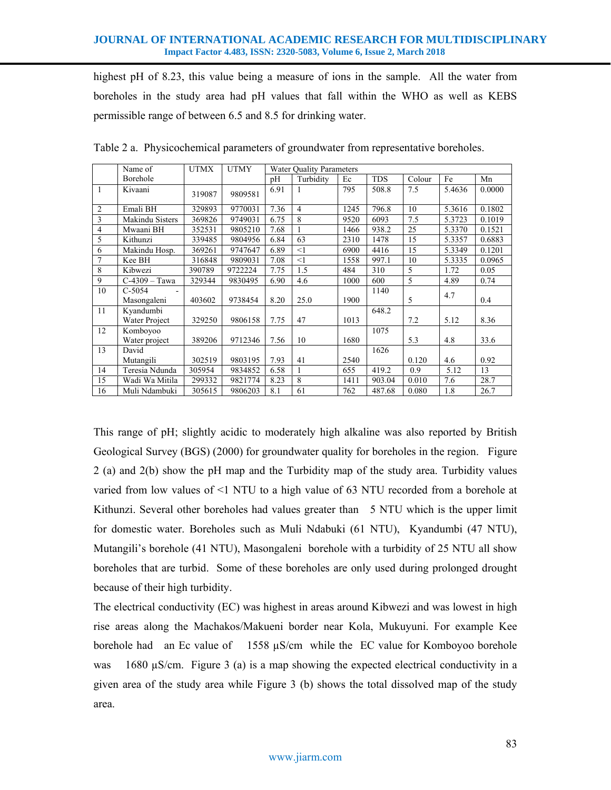highest pH of 8.23, this value being a measure of ions in the sample. All the water from boreholes in the study area had pH values that fall within the WHO as well as KEBS permissible range of between 6.5 and 8.5 for drinking water.

|                | Name of         | <b>UTMX</b> | <b>UTMY</b> | <b>Water Ouality Parameters</b> |                |      |            |        |        |        |
|----------------|-----------------|-------------|-------------|---------------------------------|----------------|------|------------|--------|--------|--------|
|                | Borehole        |             |             | pH                              | Turbidity      | Ec   | <b>TDS</b> | Colour | Fe     | Mn     |
| $\mathbf{1}$   | Kivaani         | 319087      | 9809581     | 6.91                            |                | 795  | 508.8      | 7.5    | 5.4636 | 0.0000 |
| $\overline{2}$ | Emali BH        | 329893      | 9770031     | 7.36                            | $\overline{4}$ | 1245 | 796.8      | 10     | 5.3616 | 0.1802 |
| $\overline{3}$ | Makindu Sisters | 369826      | 9749031     | 6.75                            | 8              | 9520 | 6093       | 7.5    | 5.3723 | 0.1019 |
| $\overline{4}$ | Mwaani BH       | 352531      | 9805210     | 7.68                            |                | 1466 | 938.2      | 25     | 5.3370 | 0.1521 |
| 5              | Kithunzi        | 339485      | 9804956     | 6.84                            | 63             | 2310 | 1478       | 15     | 5.3357 | 0.6883 |
| 6              | Makindu Hosp.   | 369261      | 9747647     | 6.89                            | $<$ 1          | 6900 | 4416       | 15     | 5.3349 | 0.1201 |
| 7              | Kee BH          | 316848      | 9809031     | 7.08                            | $<$ 1          | 1558 | 997.1      | 10     | 5.3335 | 0.0965 |
| $\,$ 8 $\,$    | Kibwezi         | 390789      | 9722224     | 7.75                            | 1.5            | 484  | 310        | 5      | 1.72   | 0.05   |
| 9              | $C-4309 - Tawa$ | 329344      | 9830495     | 6.90                            | 4.6            | 1000 | 600        | 5      | 4.89   | 0.74   |
| 10             | $C-5054$        |             |             |                                 |                |      | 1140       |        | 4.7    |        |
|                | Masongaleni     | 403602      | 9738454     | 8.20                            | 25.0           | 1900 |            | 5      |        | 0.4    |
| 11             | Kvandumbi       |             |             |                                 |                |      | 648.2      |        |        |        |
|                | Water Project   | 329250      | 9806158     | 7.75                            | 47             | 1013 |            | 7.2    | 5.12   | 8.36   |
| 12             | Komboyoo        |             |             |                                 |                |      | 1075       |        |        |        |
|                | Water project   | 389206      | 9712346     | 7.56                            | 10             | 1680 |            | 5.3    | 4.8    | 33.6   |
| 13             | David           |             |             |                                 |                |      | 1626       |        |        |        |
|                | Mutangili       | 302519      | 9803195     | 7.93                            | 41             | 2540 |            | 0.120  | 4.6    | 0.92   |
| 14             | Teresia Ndunda  | 305954      | 9834852     | 6.58                            |                | 655  | 419.2      | 0.9    | 5.12   | 13     |
| 15             | Wadi Wa Mitila  | 299332      | 9821774     | 8.23                            | 8              | 1411 | 903.04     | 0.010  | 7.6    | 28.7   |
| 16             | Muli Ndambuki   | 305615      | 9806203     | 8.1                             | 61             | 762  | 487.68     | 0.080  | 1.8    | 26.7   |

Table 2 a. Physicochemical parameters of groundwater from representative boreholes.

This range of pH; slightly acidic to moderately high alkaline was also reported by British Geological Survey (BGS) (2000) for groundwater quality for boreholes in the region. Figure 2 (a) and 2(b) show the pH map and the Turbidity map of the study area. Turbidity values varied from low values of <1 NTU to a high value of 63 NTU recorded from a borehole at Kithunzi. Several other boreholes had values greater than 5 NTU which is the upper limit for domestic water. Boreholes such as Muli Ndabuki (61 NTU), Kyandumbi (47 NTU), Mutangili's borehole (41 NTU), Masongaleni borehole with a turbidity of 25 NTU all show boreholes that are turbid. Some of these boreholes are only used during prolonged drought because of their high turbidity.

The electrical conductivity (EC) was highest in areas around Kibwezi and was lowest in high rise areas along the Machakos/Makueni border near Kola, Mukuyuni. For example Kee borehole had an Ec value of 1558 µS/cm while the EC value for Komboyoo borehole was 1680  $\mu$ S/cm. Figure 3 (a) is a map showing the expected electrical conductivity in a given area of the study area while Figure 3 (b) shows the total dissolved map of the study area.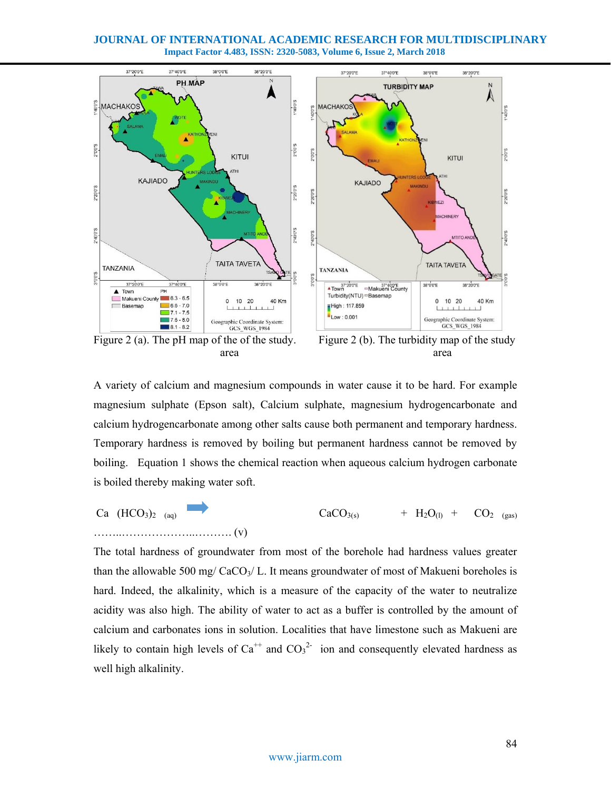

A variety of calcium and magnesium compounds in water cause it to be hard. For example magnesium sulphate (Epson salt), Calcium sulphate, magnesium hydrogencarbonate and calcium hydrogencarbonate among other salts cause both permanent and temporary hardness. Temporary hardness is removed by boiling but permanent hardness cannot be removed by boiling. Equation 1 shows the chemical reaction when aqueous calcium hydrogen carbonate is boiled thereby making water soft.

Ca  $(HCO_3)_{2}$  (aq)  $CaCO_{3(s)}$  + H<sub>2</sub>O<sub>(l)</sub> + CO<sub>2 (gas)</sub> ……..………………..………. (v)

The total hardness of groundwater from most of the borehole had hardness values greater than the allowable 500 mg/  $CaCO<sub>3</sub>/ L$ . It means groundwater of most of Makueni boreholes is hard. Indeed, the alkalinity, which is a measure of the capacity of the water to neutralize acidity was also high. The ability of water to act as a buffer is controlled by the amount of calcium and carbonates ions in solution. Localities that have limestone such as Makueni are likely to contain high levels of  $Ca^{++}$  and  $CO_3^2$  ion and consequently elevated hardness as well high alkalinity.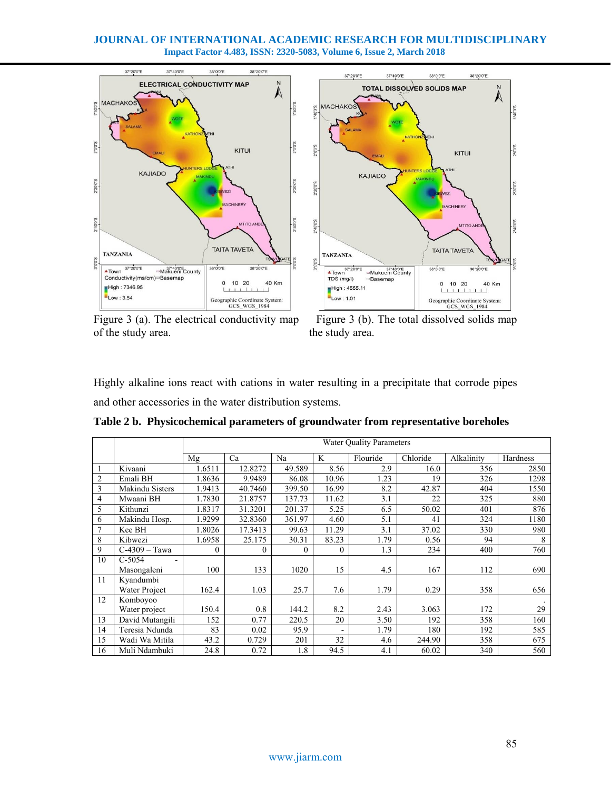



of the study area. the study area.

Highly alkaline ions react with cations in water resulting in a precipitate that corrode pipes and other accessories in the water distribution systems.

|                |                        | <b>Water Ouality Parameters</b> |         |          |                |          |          |            |          |
|----------------|------------------------|---------------------------------|---------|----------|----------------|----------|----------|------------|----------|
|                |                        | Mg                              | Ca      | Na       | K              | Flouride | Chloride | Alkalinity | Hardness |
|                | Kivaani                | 1.6511                          | 12.8272 | 49.589   | 8.56           | 2.9      | 16.0     | 356        | 2850     |
| $\overline{2}$ | Emali BH               | 1.8636                          | 9.9489  | 86.08    | 10.96          | 1.23     | 19       | 326        | 1298     |
| 3              | <b>Makindu Sisters</b> | 1.9413                          | 40.7460 | 399.50   | 16.99          | 8.2      | 42.87    | 404        | 1550     |
| 4              | Mwaani BH              | 1.7830                          | 21.8757 | 137.73   | 11.62          | 3.1      | 22       | 325        | 880      |
| 5              | Kithunzi               | 1.8317                          | 31.3201 | 201.37   | 5.25           | 6.5      | 50.02    | 401        | 876      |
| 6              | Makindu Hosp.          | 1.9299                          | 32.8360 | 361.97   | 4.60           | 5.1      | 41       | 324        | 1180     |
| $\overline{7}$ | Kee BH                 | 1.8026                          | 17.3413 | 99.63    | 11.29          | 3.1      | 37.02    | 330        | 980      |
| 8              | Kibwezi                | 1.6958                          | 25.175  | 30.31    | 83.23          | 1.79     | 0.56     | 94         | 8        |
| 9              | $C-4309 - Tawa$        | $\mathbf{0}$                    | 0       | $\Omega$ | $\overline{0}$ | 1.3      | 234      | 400        | 760      |
| 10             | $C-5054$               |                                 |         |          |                |          |          |            |          |
|                | Masongaleni            | 100                             | 133     | 1020     | 15             | 4.5      | 167      | 112        | 690      |
| 11             | Kyandumbi              |                                 |         |          |                |          |          |            |          |
|                | Water Project          | 162.4                           | 1.03    | 25.7     | 7.6            | 1.79     | 0.29     | 358        | 656      |
| 12             | Komboyoo               |                                 |         |          |                |          |          |            |          |
|                | Water project          | 150.4                           | 0.8     | 144.2    | 8.2            | 2.43     | 3.063    | 172        | 29       |
| 13             | David Mutangili        | 152                             | 0.77    | 220.5    | 20             | 3.50     | 192      | 358        | 160      |
| 14             | Teresia Ndunda         | 83                              | 0.02    | 95.9     |                | 1.79     | 180      | 192        | 585      |
| 15             | Wadi Wa Mitila         | 43.2                            | 0.729   | 201      | 32             | 4.6      | 244.90   | 358        | 675      |
| 16             | Muli Ndambuki          | 24.8                            | 0.72    | 1.8      | 94.5           | 4.1      | 60.02    | 340        | 560      |

**Table 2 b. Physicochemical parameters of groundwater from representative boreholes**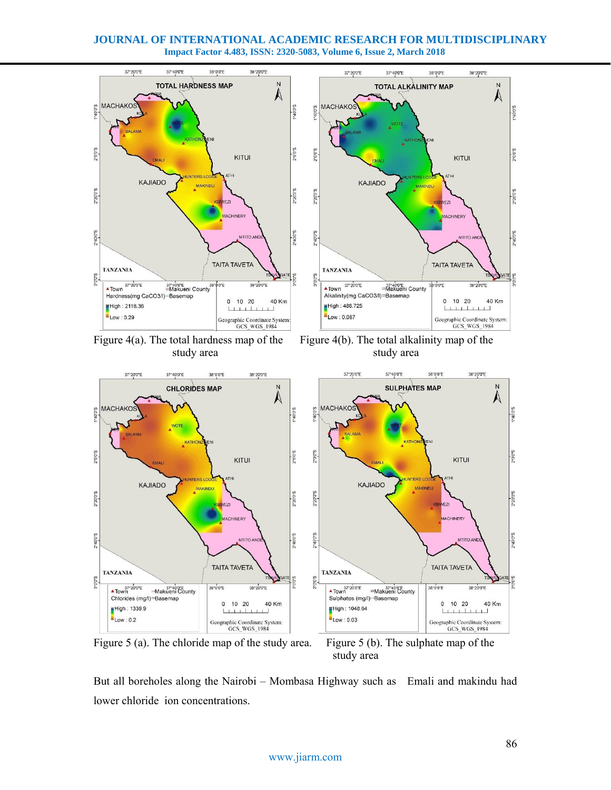

study area

But all boreholes along the Nairobi – Mombasa Highway such as Emali and makindu had lower chloride ion concentrations.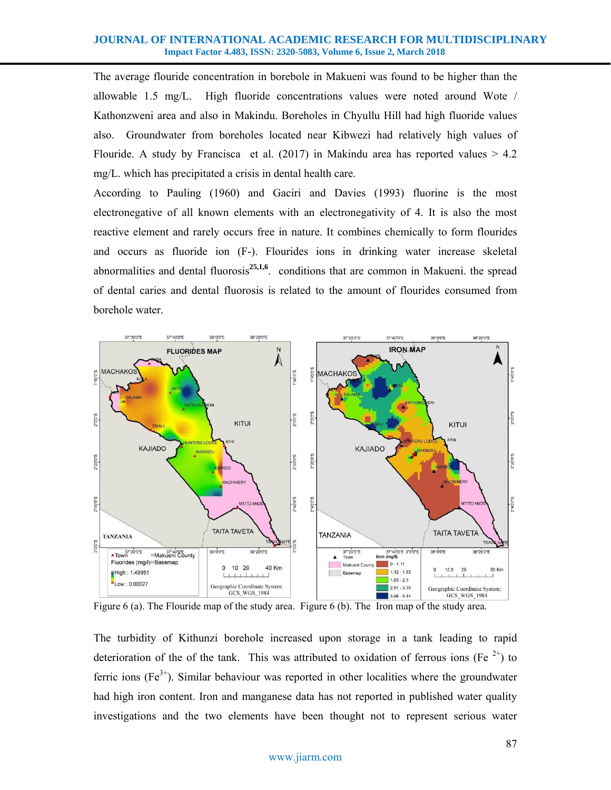The average flouride concentration in borebole in Makueni was found to be higher than the allowable 1.5 mg/L. High fluoride concentrations values were noted around Wote / Kathonzweni area and also in Makindu. Boreholes in Chyullu Hill had high fluoride values also. Groundwater from boreholes located near Kibwezi had relatively high values of Flouride. A study by Francisca et al. (2017) in Makindu area has reported values  $> 4.2$ mg/L. which has precipitated a crisis in dental health care.

According to Pauling (1960) and Gaciri and Davies (1993) fluorine is the most electronegative of all known elements with an electronegativity of 4. It is also the most reactive element and rarely occurs free in nature. It combines chemically to form flourides and occurs as fluoride ion (F-). Flourides ions in drinking water increase skeletal abnormalities and dental fluorosis<sup>25,1,6</sup>. conditions that are common in Makueni. the spread of dental caries and dental fluorosis is related to the amount of flourides consumed from borehole water.



The turbidity of Kithunzi borehole increased upon storage in a tank leading to rapid deterioration of the of the tank. This was attributed to oxidation of ferrous ions (Fe  $2^+$ ) to ferric ions ( $Fe<sup>3+</sup>$ ). Similar behaviour was reported in other localities where the groundwater had high iron content. Iron and manganese data has not reported in published water quality investigations and the two elements have been thought not to represent serious water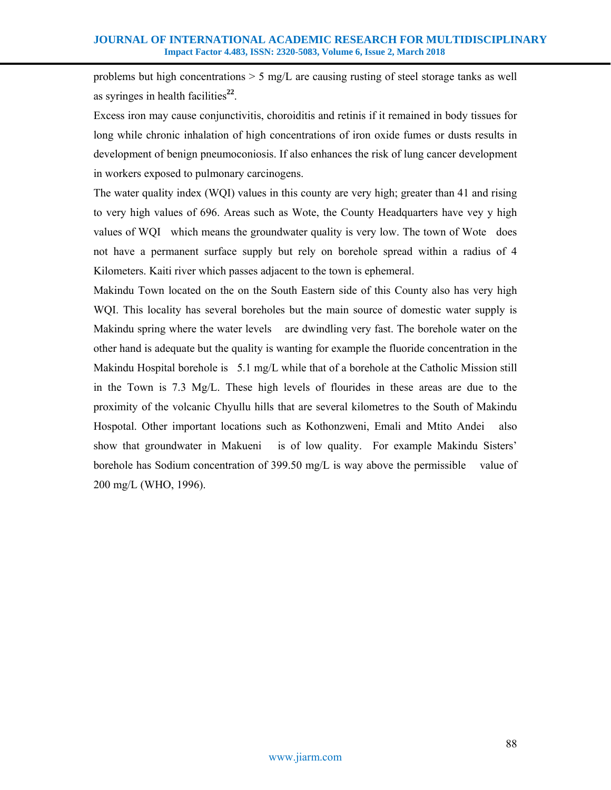problems but high concentrations  $> 5 \text{ mg/L}$  are causing rusting of steel storage tanks as well as syringes in health facilities**<sup>22</sup>**.

Excess iron may cause conjunctivitis, choroiditis and retinis if it remained in body tissues for long while chronic inhalation of high concentrations of iron oxide fumes or dusts results in development of benign pneumoconiosis. If also enhances the risk of lung cancer development in workers exposed to pulmonary carcinogens.

The water quality index (WQI) values in this county are very high; greater than 41 and rising to very high values of 696. Areas such as Wote, the County Headquarters have vey y high values of WQI which means the groundwater quality is very low. The town of Wote does not have a permanent surface supply but rely on borehole spread within a radius of 4 Kilometers. Kaiti river which passes adjacent to the town is ephemeral.

Makindu Town located on the on the South Eastern side of this County also has very high WQI. This locality has several boreholes but the main source of domestic water supply is Makindu spring where the water levels are dwindling very fast. The borehole water on the other hand is adequate but the quality is wanting for example the fluoride concentration in the Makindu Hospital borehole is 5.1 mg/L while that of a borehole at the Catholic Mission still in the Town is 7.3 Mg/L. These high levels of flourides in these areas are due to the proximity of the volcanic Chyullu hills that are several kilometres to the South of Makindu Hospotal. Other important locations such as Kothonzweni, Emali and Mtito Andei also show that groundwater in Makueni is of low quality. For example Makindu Sisters' borehole has Sodium concentration of 399.50 mg/L is way above the permissible value of 200 mg/L (WHO, 1996).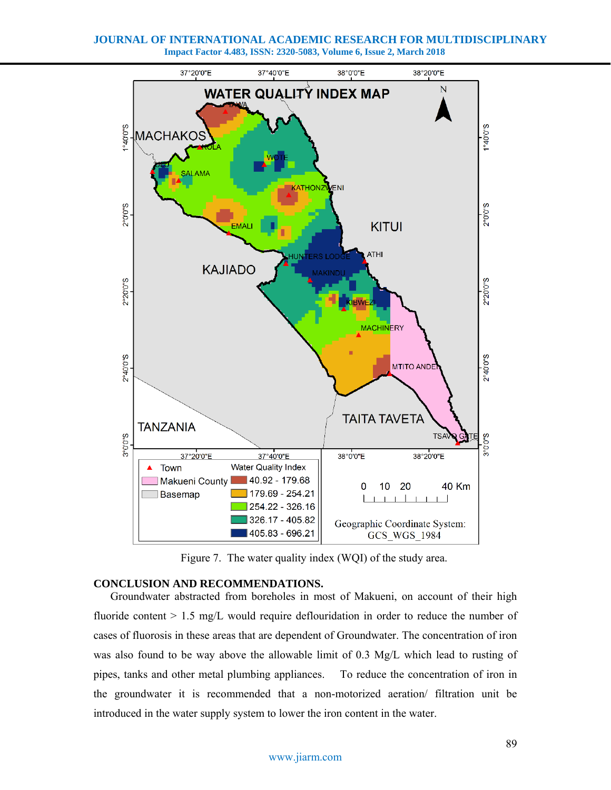**JOURNAL OF INTERNATIONAL ACADEMIC RESEARCH FOR MULTIDISCIPLINARY Impact Factor 4.483, ISSN: 2320-5083, Volume 6, Issue 2, March 2018**



Figure 7. The water quality index (WQI) of the study area.

## **CONCLUSION AND RECOMMENDATIONS.**

Groundwater abstracted from boreholes in most of Makueni, on account of their high fluoride content > 1.5 mg/L would require deflouridation in order to reduce the number of cases of fluorosis in these areas that are dependent of Groundwater. The concentration of iron was also found to be way above the allowable limit of 0.3 Mg/L which lead to rusting of pipes, tanks and other metal plumbing appliances. To reduce the concentration of iron in the groundwater it is recommended that a non-motorized aeration/ filtration unit be introduced in the water supply system to lower the iron content in the water.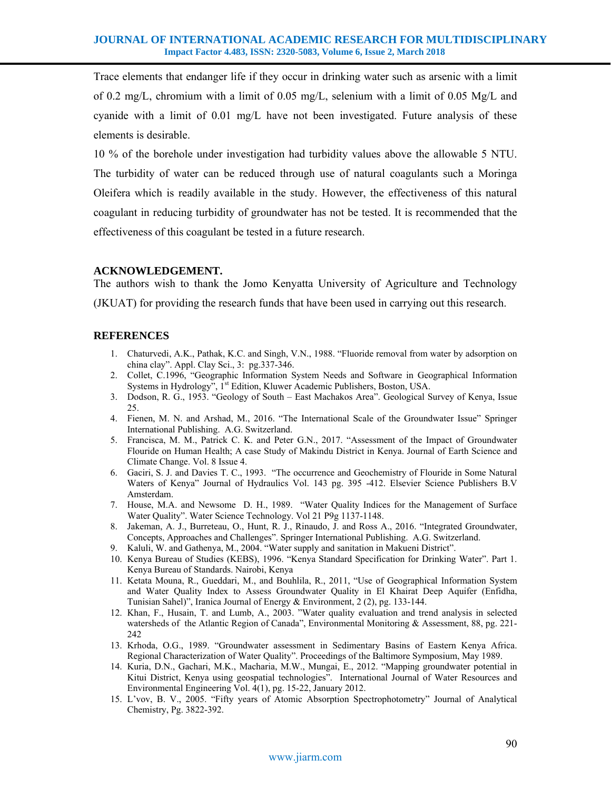Trace elements that endanger life if they occur in drinking water such as arsenic with a limit of 0.2 mg/L, chromium with a limit of 0.05 mg/L, selenium with a limit of 0.05 Mg/L and cyanide with a limit of 0.01 mg/L have not been investigated. Future analysis of these elements is desirable.

10 % of the borehole under investigation had turbidity values above the allowable 5 NTU. The turbidity of water can be reduced through use of natural coagulants such a Moringa Oleifera which is readily available in the study. However, the effectiveness of this natural coagulant in reducing turbidity of groundwater has not be tested. It is recommended that the effectiveness of this coagulant be tested in a future research.

## **ACKNOWLEDGEMENT.**

The authors wish to thank the Jomo Kenyatta University of Agriculture and Technology (JKUAT) for providing the research funds that have been used in carrying out this research.

# **REFERENCES**

- 1. Chaturvedi, A.K., Pathak, K.C. and Singh, V.N., 1988. "Fluoride removal from water by adsorption on china clay". Appl. Clay Sci., 3: pg.337-346.
- 2. Collet, C.1996, "Geographic Information System Needs and Software in Geographical Information Systems in Hydrology", 1<sup>st</sup> Edition, Kluwer Academic Publishers, Boston, USA.
- 3. Dodson, R. G., 1953. "Geology of South East Machakos Area". Geological Survey of Kenya, Issue 25.
- 4. Fienen, M. N. and Arshad, M., 2016. "The International Scale of the Groundwater Issue" Springer International Publishing. A.G. Switzerland.
- 5. Francisca, M. M., Patrick C. K. and Peter G.N., 2017. "Assessment of the Impact of Groundwater Flouride on Human Health; A case Study of Makindu District in Kenya. Journal of Earth Science and Climate Change. Vol. 8 Issue 4.
- 6. Gaciri, S. J. and Davies T. C., 1993. "The occurrence and Geochemistry of Flouride in Some Natural Waters of Kenya" Journal of Hydraulics Vol. 143 pg. 395 -412. Elsevier Science Publishers B.V Amsterdam.
- 7. House, M.A. and Newsome D. H., 1989. "Water Quality Indices for the Management of Surface Water Quality". Water Science Technology. Vol 21 P9g 1137-1148.
- 8. Jakeman, A. J., Burreteau, O., Hunt, R. J., Rinaudo, J. and Ross A., 2016. "Integrated Groundwater, Concepts, Approaches and Challenges". Springer International Publishing. A.G. Switzerland.
- 9. Kaluli, W. and Gathenya, M., 2004. "Water supply and sanitation in Makueni District".
- 10. Kenya Bureau of Studies (KEBS), 1996. "Kenya Standard Specification for Drinking Water". Part 1. Kenya Bureau of Standards. Nairobi, Kenya
- 11. Ketata Mouna, R., Gueddari, M., and Bouhlila, R., 2011, "Use of Geographical Information System and Water Quality Index to Assess Groundwater Quality in El Khairat Deep Aquifer (Enfidha, Tunisian Sahel)", Iranica Journal of Energy & Environment, 2 (2), pg. 133-144.
- 12. Khan, F., Husain, T. and Lumb, A., 2003. "Water quality evaluation and trend analysis in selected watersheds of the Atlantic Region of Canada", Environmental Monitoring & Assessment, 88, pg. 221- 242
- 13. Krhoda, O.G., 1989. "Groundwater assessment in Sedimentary Basins of Eastern Kenya Africa. Regional Characterization of Water Quality". Proceedings of the Baltimore Symposium, May 1989.
- 14. Kuria, D.N., Gachari, M.K., Macharia, M.W., Mungai, E., 2012. "Mapping groundwater potential in Kitui District, Kenya using geospatial technologies". International Journal of Water Resources and Environmental Engineering Vol. 4(1), pg. 15-22, January 2012.
- 15. L'vov, B. V., 2005. "Fifty years of Atomic Absorption Spectrophotometry" Journal of Analytical Chemistry, Pg. 3822-392.